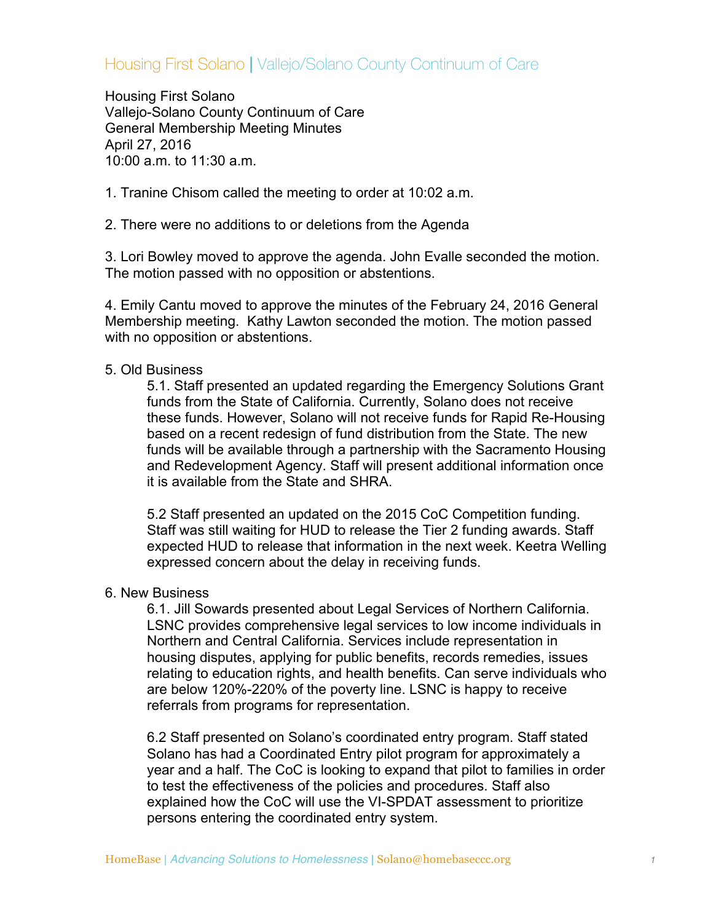## Housing First Solano **|** Vallejo/Solano County Continuum of Care

Housing First Solano Vallejo-Solano County Continuum of Care General Membership Meeting Minutes April 27, 2016 10:00 a.m. to 11:30 a.m.

1. Tranine Chisom called the meeting to order at 10:02 a.m.

2. There were no additions to or deletions from the Agenda

3. Lori Bowley moved to approve the agenda. John Evalle seconded the motion. The motion passed with no opposition or abstentions.

4. Emily Cantu moved to approve the minutes of the February 24, 2016 General Membership meeting. Kathy Lawton seconded the motion. The motion passed with no opposition or abstentions.

## 5. Old Business

5.1. Staff presented an updated regarding the Emergency Solutions Grant funds from the State of California. Currently, Solano does not receive these funds. However, Solano will not receive funds for Rapid Re-Housing based on a recent redesign of fund distribution from the State. The new funds will be available through a partnership with the Sacramento Housing and Redevelopment Agency. Staff will present additional information once it is available from the State and SHRA.

5.2 Staff presented an updated on the 2015 CoC Competition funding. Staff was still waiting for HUD to release the Tier 2 funding awards. Staff expected HUD to release that information in the next week. Keetra Welling expressed concern about the delay in receiving funds.

## 6. New Business

6.1. Jill Sowards presented about Legal Services of Northern California. LSNC provides comprehensive legal services to low income individuals in Northern and Central California. Services include representation in housing disputes, applying for public benefits, records remedies, issues relating to education rights, and health benefits. Can serve individuals who are below 120%-220% of the poverty line. LSNC is happy to receive referrals from programs for representation.

6.2 Staff presented on Solano's coordinated entry program. Staff stated Solano has had a Coordinated Entry pilot program for approximately a year and a half. The CoC is looking to expand that pilot to families in order to test the effectiveness of the policies and procedures. Staff also explained how the CoC will use the VI-SPDAT assessment to prioritize persons entering the coordinated entry system.